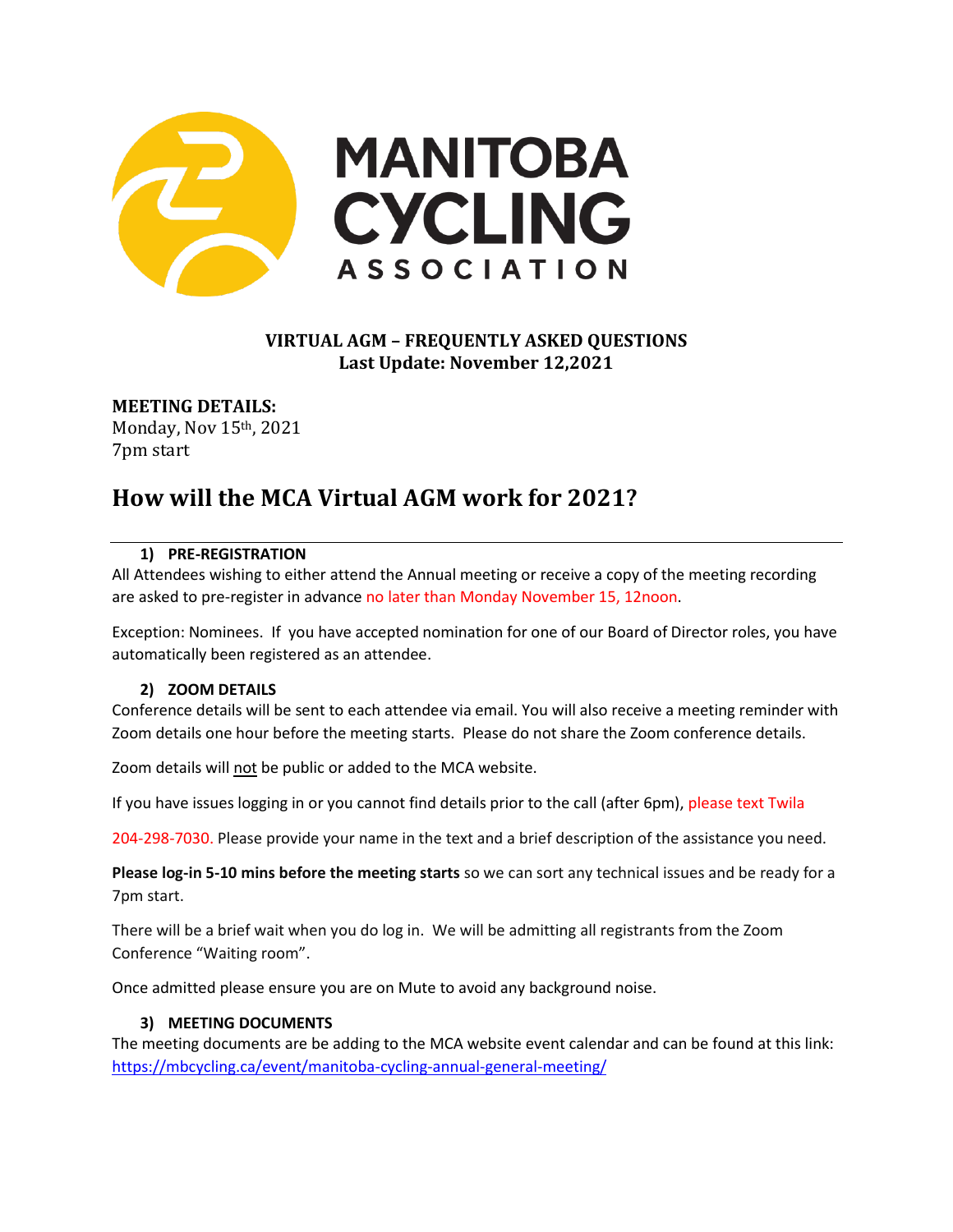

# **VIRTUAL AGM – FREQUENTLY ASKED QUESTIONS Last Update: November 12,2021**

**MEETING DETAILS:** Monday, Nov 15th, 2021 7pm start

# **How will the MCA Virtual AGM work for 2021?**

#### **1) PRE-REGISTRATION**

All Attendees wishing to either attend the Annual meeting or receive a copy of the meeting recording are asked to pre-register in advance no later than Monday November 15, 12noon.

Exception: Nominees. If you have accepted nomination for one of our Board of Director roles, you have automatically been registered as an attendee.

#### **2) ZOOM DETAILS**

Conference details will be sent to each attendee via email. You will also receive a meeting reminder with Zoom details one hour before the meeting starts. Please do not share the Zoom conference details.

Zoom details will not be public or added to the MCA website.

If you have issues logging in or you cannot find details prior to the call (after 6pm), please text Twila

204-298-7030. Please provide your name in the text and a brief description of the assistance you need.

**Please log-in 5-10 mins before the meeting starts** so we can sort any technical issues and be ready for a 7pm start.

There will be a brief wait when you do log in. We will be admitting all registrants from the Zoom Conference "Waiting room".

Once admitted please ensure you are on Mute to avoid any background noise.

#### **3) MEETING DOCUMENTS**

The meeting documents are be adding to the MCA website event calendar and can be found at this link: <https://mbcycling.ca/event/manitoba-cycling-annual-general-meeting/>